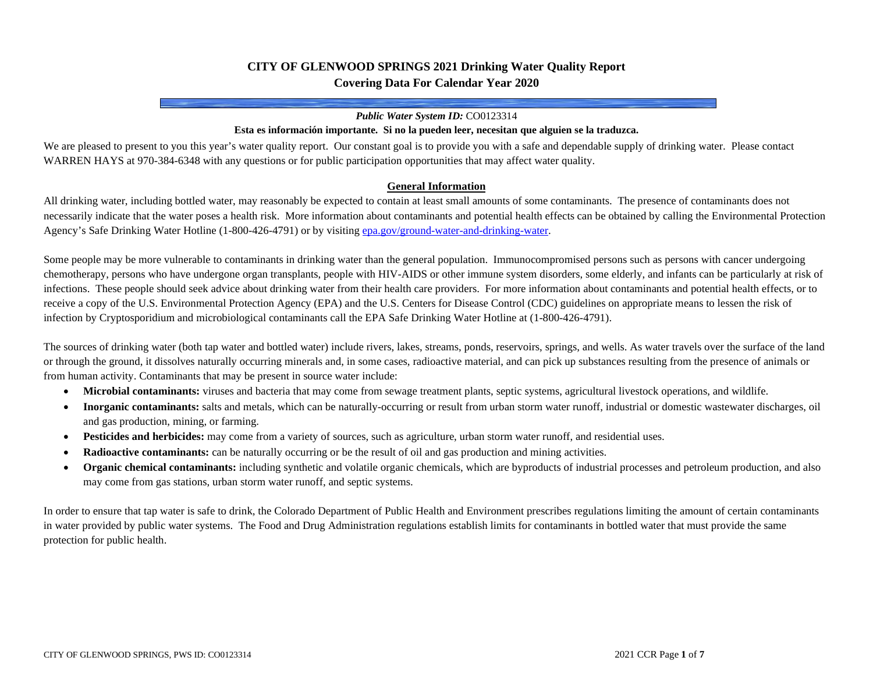## **CITY OF GLENWOOD SPRINGS 2021 Drinking Water Quality Report Covering Data For Calendar Year 2020**

#### *Public Water System ID:* CO0123314

#### **Esta es información importante. Si no la pueden leer, necesitan que alguien se la traduzca.**

We are pleased to present to you this year's water quality report. Our constant goal is to provide you with a safe and dependable supply of drinking water. Please contact WARREN HAYS at 970-384-6348 with any questions or for public participation opportunities that may affect water quality.

#### **General Information**

All drinking water, including bottled water, may reasonably be expected to contain at least small amounts of some contaminants. The presence of contaminants does not necessarily indicate that the water poses a health risk. More information about contaminants and potential health effects can be obtained by calling the Environmental Protection Agency's Safe Drinking Water Hotline (1-800-426-4791) or by visitin[g epa.gov/ground-water-and-drinking-water.](https://www.epa.gov/ground-water-and-drinking-water)

Some people may be more vulnerable to contaminants in drinking water than the general population. Immunocompromised persons such as persons with cancer undergoing chemotherapy, persons who have undergone organ transplants, people with HIV-AIDS or other immune system disorders, some elderly, and infants can be particularly at risk of infections. These people should seek advice about drinking water from their health care providers. For more information about contaminants and potential health effects, or to receive a copy of the U.S. Environmental Protection Agency (EPA) and the U.S. Centers for Disease Control (CDC) guidelines on appropriate means to lessen the risk of infection by Cryptosporidium and microbiological contaminants call the EPA Safe Drinking Water Hotline at (1-800-426-4791).

The sources of drinking water (both tap water and bottled water) include rivers, lakes, streams, ponds, reservoirs, springs, and wells. As water travels over the surface of the land or through the ground, it dissolves naturally occurring minerals and, in some cases, radioactive material, and can pick up substances resulting from the presence of animals or from human activity. Contaminants that may be present in source water include:

- **Microbial contaminants:** viruses and bacteria that may come from sewage treatment plants, septic systems, agricultural livestock operations, and wildlife.
- **Inorganic contaminants:** salts and metals, which can be naturally-occurring or result from urban storm water runoff, industrial or domestic wastewater discharges, oil and gas production, mining, or farming.
- **Pesticides and herbicides:** may come from a variety of sources, such as agriculture, urban storm water runoff, and residential uses.
- **Radioactive contaminants:** can be naturally occurring or be the result of oil and gas production and mining activities.
- **Organic chemical contaminants:** including synthetic and volatile organic chemicals, which are byproducts of industrial processes and petroleum production, and also may come from gas stations, urban storm water runoff, and septic systems.

In order to ensure that tap water is safe to drink, the Colorado Department of Public Health and Environment prescribes regulations limiting the amount of certain contaminants in water provided by public water systems. The Food and Drug Administration regulations establish limits for contaminants in bottled water that must provide the same protection for public health.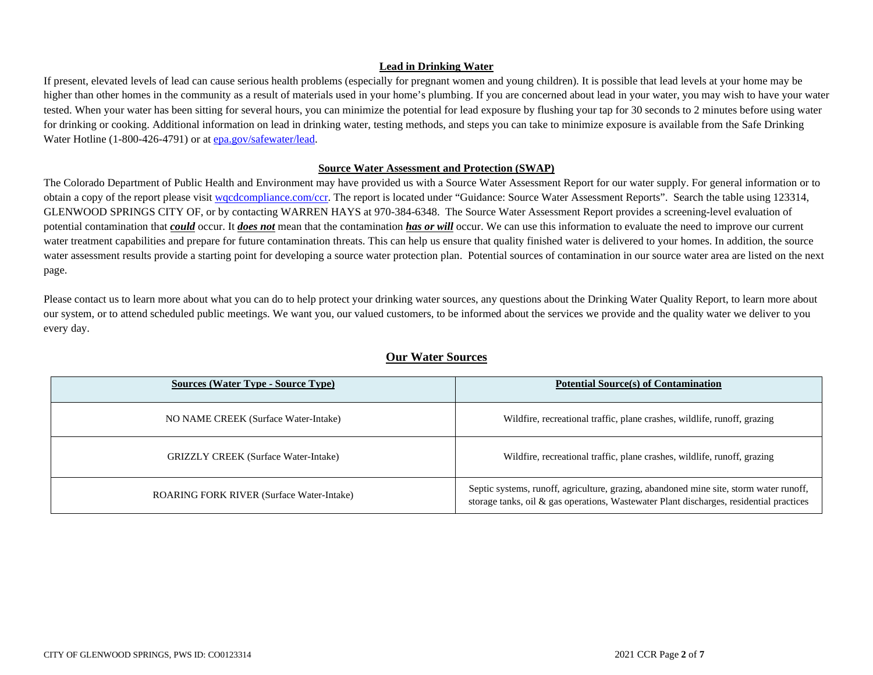### **Lead in Drinking Water**

If present, elevated levels of lead can cause serious health problems (especially for pregnant women and young children). It is possible that lead levels at your home may be higher than other homes in the community as a result of materials used in your home's plumbing. If you are concerned about lead in your water, you may wish to have your water tested. When your water has been sitting for several hours, you can minimize the potential for lead exposure by flushing your tap for 30 seconds to 2 minutes before using water for drinking or cooking. Additional information on lead in drinking water, testing methods, and steps you can take to minimize exposure is available from the Safe Drinking Water Hotline (1-800-426-4791) or a[t epa.gov/safewater/lead.](http://www.epa.gov/safewater/lead)

#### **Source Water Assessment and Protection (SWAP)**

The Colorado Department of Public Health and Environment may have provided us with a Source Water Assessment Report for our water supply. For general information or to obtain a copy of the report please visit wordcompliance.com/ccr. The report is located under "Guidance: Source Water Assessment Reports". Search the table using 123314, GLENWOOD SPRINGS CITY OF, or by contacting WARREN HAYS at 970-384-6348. The Source Water Assessment Report provides a screening-level evaluation of potential contamination that *could* occur. It *does not* mean that the contamination *has or will* occur. We can use this information to evaluate the need to improve our current water treatment capabilities and prepare for future contamination threats. This can help us ensure that quality finished water is delivered to your homes. In addition, the source water assessment results provide a starting point for developing a source water protection plan. Potential sources of contamination in our source water area are listed on the next page.

Please contact us to learn more about what you can do to help protect your drinking water sources, any questions about the Drinking Water Quality Report, to learn more about our system, or to attend scheduled public meetings. We want you, our valued customers, to be informed about the services we provide and the quality water we deliver to you every day.

| <b>Sources (Water Type - Source Type)</b>        | <b>Potential Source(s) of Contamination</b>                                                                                                                                       |
|--------------------------------------------------|-----------------------------------------------------------------------------------------------------------------------------------------------------------------------------------|
| NO NAME CREEK (Surface Water-Intake)             | Wildfire, recreational traffic, plane crashes, wildlife, runoff, grazing                                                                                                          |
| <b>GRIZZLY CREEK</b> (Surface Water-Intake)      | Wildfire, recreational traffic, plane crashes, wildlife, runoff, grazing                                                                                                          |
| <b>ROARING FORK RIVER (Surface Water-Intake)</b> | Septic systems, runoff, agriculture, grazing, abandoned mine site, storm water runoff,<br>storage tanks, oil & gas operations, Wastewater Plant discharges, residential practices |

## **Our Water Sources**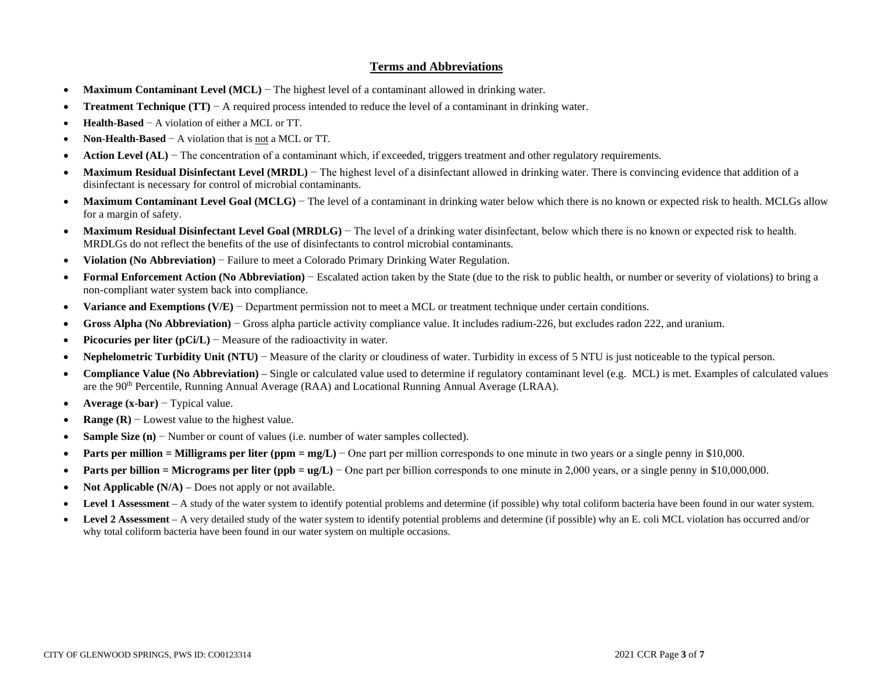### **Terms and Abbreviations**

- **Maximum Contaminant Level (MCL)** − The highest level of a contaminant allowed in drinking water.
- **Treatment Technique (TT)** − A required process intended to reduce the level of a contaminant in drinking water.
- **Health-Based** − A violation of either a MCL or TT.
- **Non-Health-Based** − A violation that is not a MCL or TT.
- **Action Level (AL)** − The concentration of a contaminant which, if exceeded, triggers treatment and other regulatory requirements.
- Maximum Residual Disinfectant Level (MRDL) The highest level of a disinfectant allowed in drinking water. There is convincing evidence that addition of a disinfectant is necessary for control of microbial contaminants.
- Maximum Contaminant Level Goal (MCLG) The level of a contaminant in drinking water below which there is no known or expected risk to health. MCLGs allow for a margin of safety.
- **Maximum Residual Disinfectant Level Goal (MRDLG**) The level of a drinking water disinfectant, below which there is no known or expected risk to health. MRDLGs do not reflect the benefits of the use of disinfectants to control microbial contaminants.
- **Violation (No Abbreviation)** − Failure to meet a Colorado Primary Drinking Water Regulation.
- **Formal Enforcement Action (No Abbreviation)** − Escalated action taken by the State (due to the risk to public health, or number or severity of violations) to bring a non-compliant water system back into compliance.
- **Variance and Exemptions (V/E)** − Department permission not to meet a MCL or treatment technique under certain conditions.
- **Gross Alpha (No Abbreviation)** − Gross alpha particle activity compliance value. It includes radium-226, but excludes radon 222, and uranium.
- **Picocuries per liter (pCi/L)** − Measure of the radioactivity in water.
- **Nephelometric Turbidity Unit (NTU)** − Measure of the clarity or cloudiness of water. Turbidity in excess of 5 NTU is just noticeable to the typical person.
- **Compliance Value (No Abbreviation)** Single or calculated value used to determine if regulatory contaminant level (e.g. MCL) is met. Examples of calculated values are the 90th Percentile, Running Annual Average (RAA) and Locational Running Annual Average (LRAA).
- **Average (x-bar)** − Typical value.
- **Range (R)** − Lowest value to the highest value.
- **Sample Size (n)** − Number or count of values (i.e. number of water samples collected).
- **• Parts per million = Milligrams per liter (ppm = mg/L)** One part per million corresponds to one minute in two years or a single penny in \$10,000.
- **Parts per billion = Micrograms per liter (ppb = ug/L)** One part per billion corresponds to one minute in 2,000 years, or a single penny in \$10,000,000.
- **Not Applicable (N/A)** Does not apply or not available.
- **Level 1 Assessment** A study of the water system to identify potential problems and determine (if possible) why total coliform bacteria have been found in our water system.
- **Level 2 Assessment** A very detailed study of the water system to identify potential problems and determine (if possible) why an E. coli MCL violation has occurred and/or why total coliform bacteria have been found in our water system on multiple occasions.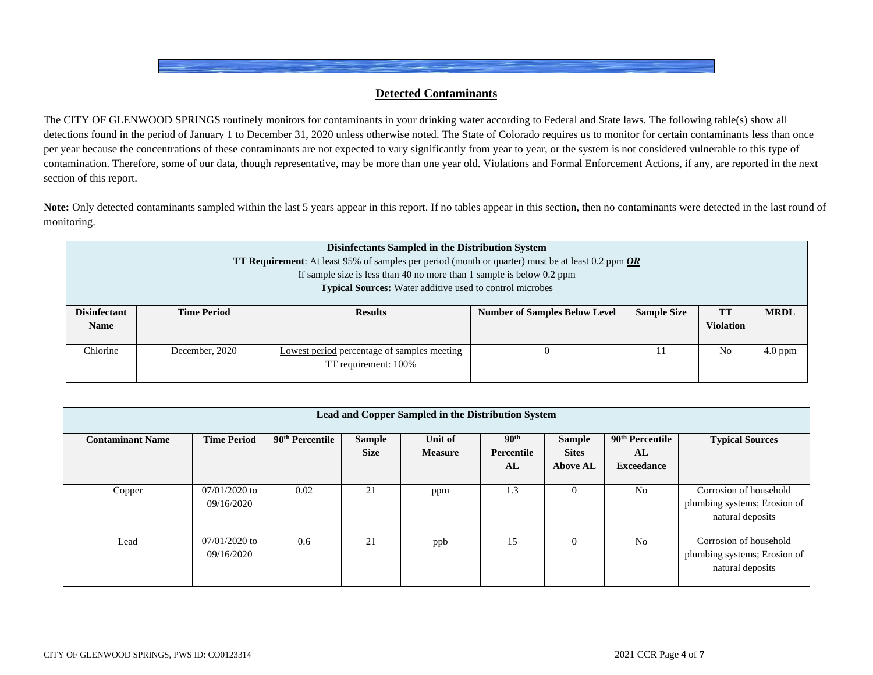## **Detected Contaminants**

The CITY OF GLENWOOD SPRINGS routinely monitors for contaminants in your drinking water according to Federal and State laws. The following table(s) show all detections found in the period of January 1 to December 31, 2020 unless otherwise noted. The State of Colorado requires us to monitor for certain contaminants less than once per year because the concentrations of these contaminants are not expected to vary significantly from year to year, or the system is not considered vulnerable to this type of contamination. Therefore, some of our data, though representative, may be more than one year old. Violations and Formal Enforcement Actions, if any, are reported in the next section of this report.

Note: Only detected contaminants sampled within the last 5 years appear in this report. If no tables appear in this section, then no contaminants were detected in the last round of monitoring.

| Disinfectants Sampled in the Distribution System<br><b>TT Requirement</b> : At least 95% of samples per period (month or quarter) must be at least 0.2 ppm <b>OR</b><br>If sample size is less than 40 no more than 1 sample is below $0.2$ ppm<br><b>Typical Sources:</b> Water additive used to control microbes |                    |                                                                     |                                      |                    |                               |             |  |  |  |  |
|--------------------------------------------------------------------------------------------------------------------------------------------------------------------------------------------------------------------------------------------------------------------------------------------------------------------|--------------------|---------------------------------------------------------------------|--------------------------------------|--------------------|-------------------------------|-------------|--|--|--|--|
| <b>Disinfectant</b><br><b>Name</b>                                                                                                                                                                                                                                                                                 | <b>Time Period</b> | <b>Results</b>                                                      | <b>Number of Samples Below Level</b> | <b>Sample Size</b> | <b>TT</b><br><b>Violation</b> | <b>MRDL</b> |  |  |  |  |
| Chlorine                                                                                                                                                                                                                                                                                                           | December, 2020     | Lowest period percentage of samples meeting<br>TT requirement: 100% |                                      |                    | N <sub>0</sub>                | $4.0$ ppm   |  |  |  |  |

| Lead and Copper Sampled in the Distribution System |                               |                             |                              |                           |                                      |                                                  |                                                        |                                                                            |  |  |  |
|----------------------------------------------------|-------------------------------|-----------------------------|------------------------------|---------------------------|--------------------------------------|--------------------------------------------------|--------------------------------------------------------|----------------------------------------------------------------------------|--|--|--|
| <b>Contaminant Name</b>                            | <b>Time Period</b>            | 90 <sup>th</sup> Percentile | <b>Sample</b><br><b>Size</b> | Unit of<br><b>Measure</b> | 90 <sup>th</sup><br>Percentile<br>AL | <b>Sample</b><br><b>Sites</b><br><b>Above AL</b> | 90 <sup>th</sup> Percentile<br>AL<br><b>Exceedance</b> | <b>Typical Sources</b>                                                     |  |  |  |
| Copper                                             | $07/01/2020$ to<br>09/16/2020 | 0.02                        | 21                           | ppm                       | 1.3                                  |                                                  | N <sub>o</sub>                                         | Corrosion of household<br>plumbing systems; Erosion of<br>natural deposits |  |  |  |
| Lead                                               | $07/01/2020$ to<br>09/16/2020 | 0.6                         | 21                           | ppb                       | 15                                   |                                                  | No.                                                    | Corrosion of household<br>plumbing systems; Erosion of<br>natural deposits |  |  |  |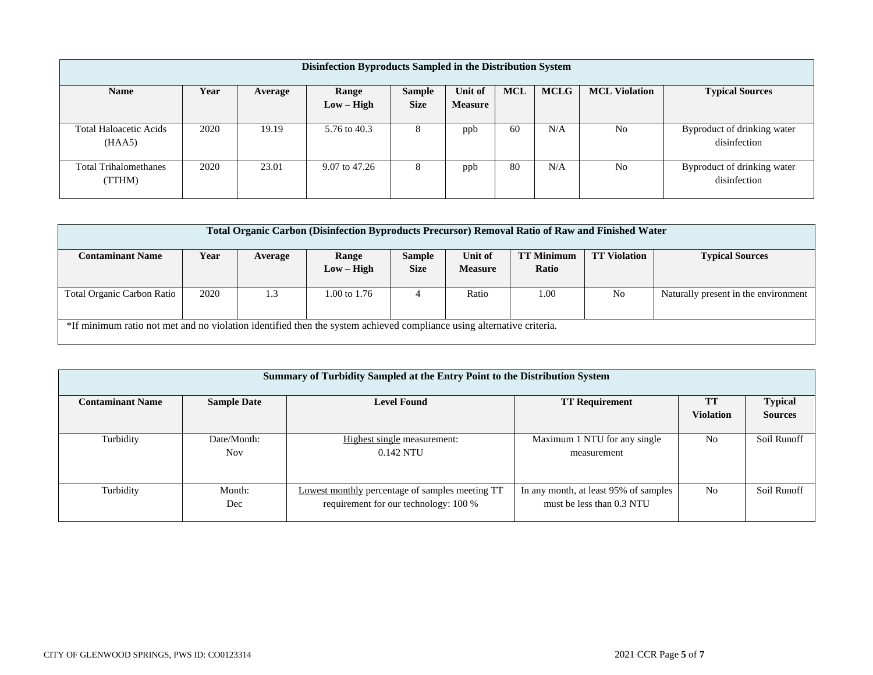| Disinfection Byproducts Sampled in the Distribution System |      |         |               |               |                |            |             |                      |                                             |  |  |
|------------------------------------------------------------|------|---------|---------------|---------------|----------------|------------|-------------|----------------------|---------------------------------------------|--|--|
| <b>Name</b>                                                | Year | Average | Range         | <b>Sample</b> | <b>Unit of</b> | <b>MCL</b> | <b>MCLG</b> | <b>MCL Violation</b> | <b>Typical Sources</b>                      |  |  |
|                                                            |      |         | $Low - High$  | <b>Size</b>   | <b>Measure</b> |            |             |                      |                                             |  |  |
| <b>Total Haloacetic Acids</b><br>(HAA5)                    | 2020 | 19.19   | 5.76 to 40.3  | 8             | ppb            | 60         | N/A         | No                   | Byproduct of drinking water<br>disinfection |  |  |
| <b>Total Trihalomethanes</b><br>(TTHM)                     | 2020 | 23.01   | 9.07 to 47.26 | 8             | ppb            | 80         | N/A         | N <sub>0</sub>       | Byproduct of drinking water<br>disinfection |  |  |

| Total Organic Carbon (Disinfection Byproducts Precursor) Removal Ratio of Raw and Finished Water |                                                                                                                       |         |              |               |                |                   |                     |                                      |  |  |  |
|--------------------------------------------------------------------------------------------------|-----------------------------------------------------------------------------------------------------------------------|---------|--------------|---------------|----------------|-------------------|---------------------|--------------------------------------|--|--|--|
|                                                                                                  |                                                                                                                       |         |              |               |                |                   |                     |                                      |  |  |  |
|                                                                                                  |                                                                                                                       |         |              |               |                |                   |                     |                                      |  |  |  |
| <b>Contaminant Name</b>                                                                          | Year                                                                                                                  | Average | Range        | <b>Sample</b> | Unit of        | <b>TT Minimum</b> | <b>TT Violation</b> | <b>Typical Sources</b>               |  |  |  |
|                                                                                                  |                                                                                                                       |         |              |               |                |                   |                     |                                      |  |  |  |
|                                                                                                  |                                                                                                                       |         | $Low - High$ | <b>Size</b>   | <b>Measure</b> | Ratio             |                     |                                      |  |  |  |
|                                                                                                  |                                                                                                                       |         |              |               |                |                   |                     |                                      |  |  |  |
|                                                                                                  |                                                                                                                       |         |              |               |                |                   |                     |                                      |  |  |  |
| Total Organic Carbon Ratio                                                                       | 2020                                                                                                                  | 1.3     | 1.00 to 1.76 | 4             | Ratio          | 1.00              | N <sub>o</sub>      | Naturally present in the environment |  |  |  |
|                                                                                                  |                                                                                                                       |         |              |               |                |                   |                     |                                      |  |  |  |
|                                                                                                  |                                                                                                                       |         |              |               |                |                   |                     |                                      |  |  |  |
|                                                                                                  |                                                                                                                       |         |              |               |                |                   |                     |                                      |  |  |  |
|                                                                                                  |                                                                                                                       |         |              |               |                |                   |                     |                                      |  |  |  |
|                                                                                                  | *If minimum ratio not met and no violation identified then the system achieved compliance using alternative criteria. |         |              |               |                |                   |                     |                                      |  |  |  |
|                                                                                                  |                                                                                                                       |         |              |               |                |                   |                     |                                      |  |  |  |
|                                                                                                  |                                                                                                                       |         |              |               |                |                   |                     |                                      |  |  |  |

| Summary of Turbidity Sampled at the Entry Point to the Distribution System |                                                                   |                                                 |                                       |                  |                |  |  |  |  |  |  |
|----------------------------------------------------------------------------|-------------------------------------------------------------------|-------------------------------------------------|---------------------------------------|------------------|----------------|--|--|--|--|--|--|
| <b>Contaminant Name</b>                                                    | <b>Level Found</b><br><b>Sample Date</b><br><b>TT Requirement</b> |                                                 |                                       |                  |                |  |  |  |  |  |  |
|                                                                            |                                                                   |                                                 |                                       | <b>Violation</b> | <b>Sources</b> |  |  |  |  |  |  |
|                                                                            |                                                                   |                                                 |                                       |                  |                |  |  |  |  |  |  |
| Turbidity                                                                  | Date/Month:                                                       | Highest single measurement:                     | Maximum 1 NTU for any single          | N <sub>0</sub>   | Soil Runoff    |  |  |  |  |  |  |
|                                                                            | <b>Nov</b>                                                        | $0.142$ NTU                                     | measurement                           |                  |                |  |  |  |  |  |  |
|                                                                            |                                                                   |                                                 |                                       |                  |                |  |  |  |  |  |  |
|                                                                            |                                                                   |                                                 |                                       |                  |                |  |  |  |  |  |  |
| Turbidity                                                                  | Month:                                                            | Lowest monthly percentage of samples meeting TT | In any month, at least 95% of samples | No               | Soil Runoff    |  |  |  |  |  |  |
|                                                                            | Dec                                                               | requirement for our technology: 100 %           | must be less than 0.3 NTU             |                  |                |  |  |  |  |  |  |
|                                                                            |                                                                   |                                                 |                                       |                  |                |  |  |  |  |  |  |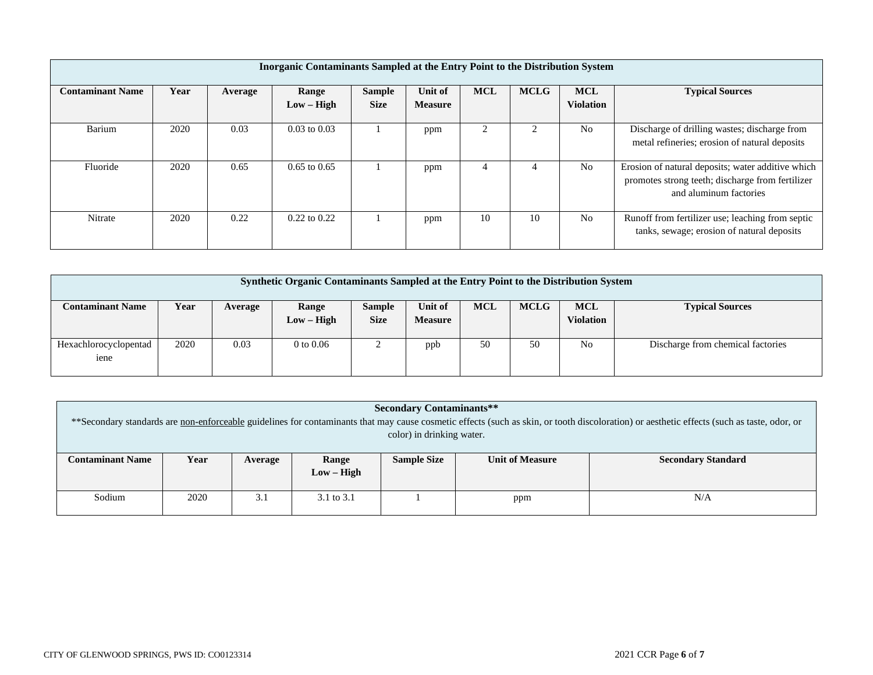| Inorganic Contaminants Sampled at the Entry Point to the Distribution System |      |         |                       |                              |                           |            |             |                                |                                                                                                                                 |  |  |
|------------------------------------------------------------------------------|------|---------|-----------------------|------------------------------|---------------------------|------------|-------------|--------------------------------|---------------------------------------------------------------------------------------------------------------------------------|--|--|
| <b>Contaminant Name</b>                                                      | Year | Average | Range<br>$Low - High$ | <b>Sample</b><br><b>Size</b> | Unit of<br><b>Measure</b> | <b>MCL</b> | <b>MCLG</b> | <b>MCL</b><br><b>Violation</b> | <b>Typical Sources</b>                                                                                                          |  |  |
| Barium                                                                       | 2020 | 0.03    | $0.03$ to $0.03$      |                              | ppm                       |            |             | N <sub>0</sub>                 | Discharge of drilling wastes; discharge from<br>metal refineries; erosion of natural deposits                                   |  |  |
| Fluoride                                                                     | 2020 | 0.65    | $0.65$ to $0.65$      |                              | ppm                       |            |             | N <sub>0</sub>                 | Erosion of natural deposits; water additive which<br>promotes strong teeth; discharge from fertilizer<br>and aluminum factories |  |  |
| Nitrate                                                                      | 2020 | 0.22    | $0.22$ to $0.22$      |                              | ppm                       | 10         | 10          | N <sub>0</sub>                 | Runoff from fertilizer use; leaching from septic<br>tanks, sewage; erosion of natural deposits                                  |  |  |

| Synthetic Organic Contaminants Sampled at the Entry Point to the Distribution System |      |         |                       |                       |                           |            |             |                         |                                   |  |  |
|--------------------------------------------------------------------------------------|------|---------|-----------------------|-----------------------|---------------------------|------------|-------------|-------------------------|-----------------------------------|--|--|
| <b>Contaminant Name</b>                                                              | Year | Average | Range<br>$Low - High$ | Sample<br><b>Size</b> | Unit of<br><b>Measure</b> | <b>MCL</b> | <b>MCLG</b> | <b>MCL</b><br>Violation | <b>Typical Sources</b>            |  |  |
| Hexachlorocyclopentad<br>iene                                                        | 2020 | 0.03    | $0$ to $0.06$         |                       | ppb                       | 50         | 50          | N <sub>0</sub>          | Discharge from chemical factories |  |  |

| <b>Secondary Contaminants**</b><br>**Secondary standards are non-enforceable guidelines for contaminants that may cause cosmetic effects (such as skin, or tooth discoloration) or aesthetic effects (such as taste, odor, or |      |         |                       |                    |                        |                           |  |  |  |  |
|-------------------------------------------------------------------------------------------------------------------------------------------------------------------------------------------------------------------------------|------|---------|-----------------------|--------------------|------------------------|---------------------------|--|--|--|--|
| color) in drinking water.                                                                                                                                                                                                     |      |         |                       |                    |                        |                           |  |  |  |  |
| <b>Contaminant Name</b>                                                                                                                                                                                                       | Year | Average | Range<br>$Low - High$ | <b>Sample Size</b> | <b>Unit of Measure</b> | <b>Secondary Standard</b> |  |  |  |  |
| Sodium                                                                                                                                                                                                                        | 2020 | 3.1     | 3.1 to 3.1            |                    | ppm                    | N/A                       |  |  |  |  |